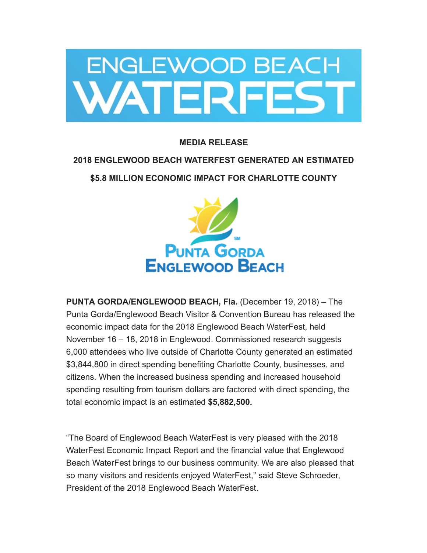

## **MEDIA RELEASE**

# **2018 ENGLEWOOD BEACH WATERFEST GENERATED AN ESTIMATED**

**\$5.8 MILLION ECONOMIC IMPACT FOR CHARLOTTE COUNTY**



**PUNTA GORDA/ENGLEWOOD BEACH, Fla.** (December 19, 2018) – The Punta Gorda/Englewood Beach Visitor & Convention Bureau has released the economic impact data for the 2018 Englewood Beach WaterFest, held November 16 – 18, 2018 in Englewood. Commissioned research suggests 6,000 attendees who live outside of Charlotte County generated an estimated \$3,844,800 in direct spending benefiting Charlotte County, businesses, and citizens. When the increased business spending and increased household spending resulting from tourism dollars are factored with direct spending, the total economic impact is an estimated **\$5,882,500.**

"The Board of Englewood Beach WaterFest is very pleased with the 2018 WaterFest Economic Impact Report and the financial value that Englewood Beach WaterFest brings to our business community. We are also pleased that so many visitors and residents enjoyed WaterFest," said Steve Schroeder, President of the 2018 Englewood Beach WaterFest.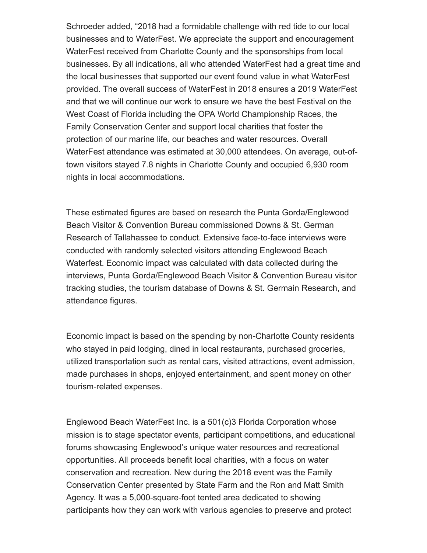Schroeder added, "2018 had a formidable challenge with red tide to our local businesses and to WaterFest. We appreciate the support and encouragement WaterFest received from Charlotte County and the sponsorships from local businesses. By all indications, all who attended WaterFest had a great time and the local businesses that supported our event found value in what WaterFest provided. The overall success of WaterFest in 2018 ensures a 2019 WaterFest and that we will continue our work to ensure we have the best Festival on the West Coast of Florida including the OPA World Championship Races, the Family Conservation Center and support local charities that foster the protection of our marine life, our beaches and water resources. Overall WaterFest attendance was estimated at 30,000 attendees. On average, out-oftown visitors stayed 7.8 nights in Charlotte County and occupied 6,930 room nights in local accommodations.

These estimated figures are based on research the Punta Gorda/Englewood Beach Visitor & Convention Bureau commissioned Downs & St. German Research of Tallahassee to conduct. Extensive face-to-face interviews were conducted with randomly selected visitors attending Englewood Beach Waterfest. Economic impact was calculated with data collected during the interviews, Punta Gorda/Englewood Beach Visitor & Convention Bureau visitor tracking studies, the tourism database of Downs & St. Germain Research, and attendance figures.

Economic impact is based on the spending by non-Charlotte County residents who stayed in paid lodging, dined in local restaurants, purchased groceries, utilized transportation such as rental cars, visited attractions, event admission, made purchases in shops, enjoyed entertainment, and spent money on other tourism-related expenses.

Englewood Beach WaterFest Inc. is a 501(c)3 Florida Corporation whose mission is to stage spectator events, participant competitions, and educational forums showcasing Englewood's unique water resources and recreational opportunities. All proceeds benefit local charities, with a focus on water conservation and recreation. New during the 2018 event was the Family Conservation Center presented by State Farm and the Ron and Matt Smith Agency. It was a 5,000-square-foot tented area dedicated to showing participants how they can work with various agencies to preserve and protect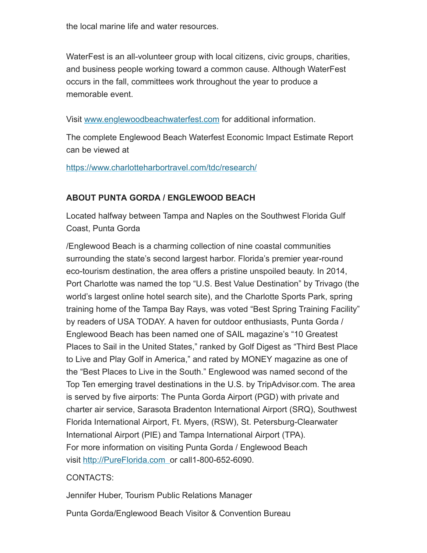the local marine life and water resources.

WaterFest is an all-volunteer group with local citizens, civic groups, charities, and business people working toward a common cause. Although WaterFest occurs in the fall, committees work throughout the year to produce a memorable event.

Visit [www.englewoodbeachwaterfest.com](https://englewoodbeachwaterfest.com/) for additional information.

The complete Englewood Beach Waterfest Economic Impact Estimate Report can be viewed at

[https://](https://www.charlotteharbortravel.com/tdc/research/)[www.charlotteharbortravel.com/tdc/researc](http://www.charlotteharbortravel.com/tdc/research/)[h/](https://www.charlotteharbortravel.com/tdc/research/)

## **ABOUT PUNTA GORDA / ENGLEWOOD BEACH**

Located halfway between Tampa and Naples on the Southwest Florida Gulf Coast, Punta Gorda

/Englewood Beach is a charming collection of nine coastal communities surrounding the state's second largest harbor. Florida's premier year-round eco-tourism destination, the area offers a pristine unspoiled beauty. In 2014, Port Charlotte was named the top "U.S. Best Value Destination" by Trivago (the world's largest online hotel search site), and the Charlotte Sports Park, spring training home of the Tampa Bay Rays, was voted "Best Spring Training Facility" by readers of USA TODAY. A haven for outdoor enthusiasts, Punta Gorda / Englewood Beach has been named one of SAIL magazine's "10 Greatest Places to Sail in the United States," ranked by Golf Digest as "Third Best Place to Live and Play Golf in America," and rated by MONEY magazine as one of the "Best Places to Live in the South." Englewood was named second of the Top Ten emerging travel destinations in the U.S. by TripAdvisor.com. The area is served by five airports: The Punta Gorda Airport (PGD) with private and charter air service, Sarasota Bradenton International Airport (SRQ), Southwest Florida International Airport, Ft. Myers, (RSW), St. Petersburg-Clearwater International Airport (PIE) and Tampa International Airport (TPA). For more information on visiting Punta Gorda / Englewood Beach visit [http://PureFlorida.com o](http://pureflorida.com/)r call1-800-652-6090.

#### CONTACTS:

Jennifer Huber, Tourism Public Relations Manager

Punta Gorda/Englewood Beach Visitor & Convention Bureau